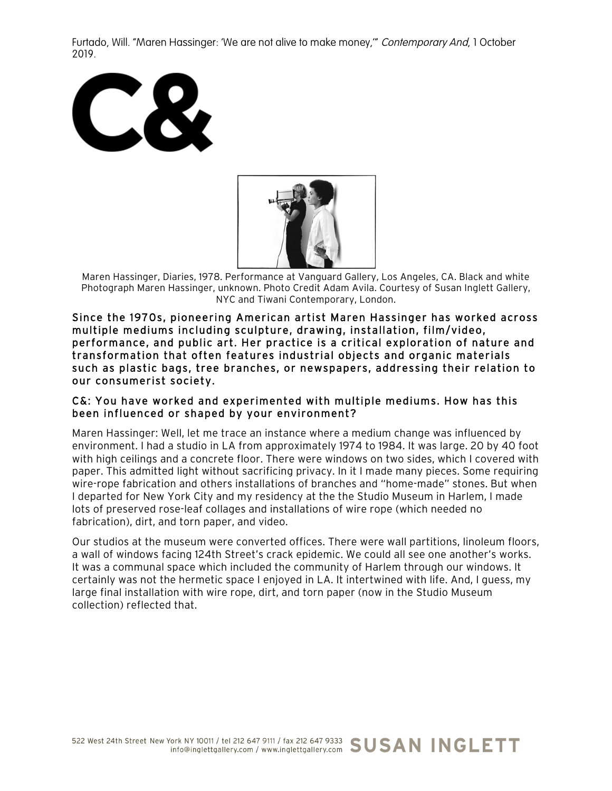Furtado, Will. "Maren Hassinger: 'We are not alive to make money,'" Contemporary And, 1 October 2019.





Maren Hassinger, Diaries, 1978. Performance at Vanguard Gallery, Los Angeles, CA. Black and white Photograph Maren Hassinger, unknown. Photo Credit Adam Avila. Courtesy of Susan Inglett Gallery, NYC and Tiwani Contemporary, London.

Since the 1970s, pioneering American artist Maren Hassinger has worked across multiple mediums including sculpture, drawing, installation, film/video, performance, and public art. Her practice is a critical exploration of nature and transformation that often features industrial objects and organic materials such as plastic bags, tree branches, or newspapers, addressing their relation to our consumerist society.

### C&: You have worked and experimented with multiple mediums. How has this been influenced or shaped by your environment?

Maren Hassinger: Well, let me trace an instance where a medium change was influenced by environment. I had a studio in LA from approximately 1974 to 1984. It was large. 20 by 40 foot with high ceilings and a concrete floor. There were windows on two sides, which I covered with paper. This admitted light without sacrificing privacy. In it I made many pieces. Some requiring wire-rope fabrication and others installations of branches and "home-made" stones. But when I departed for New York City and my residency at the the Studio Museum in Harlem, I made lots of preserved rose-leaf collages and installations of wire rope (which needed no fabrication), dirt, and torn paper, and video.

Our studios at the museum were converted offices. There were wall partitions, linoleum floors, a wall of windows facing 124th Street's crack epidemic. We could all see one another's works. It was a communal space which included the community of Harlem through our windows. It certainly was not the hermetic space I enjoyed in LA. It intertwined with life. And, I guess, my large final installation with wire rope, dirt, and torn paper (now in the Studio Museum collection) reflected that.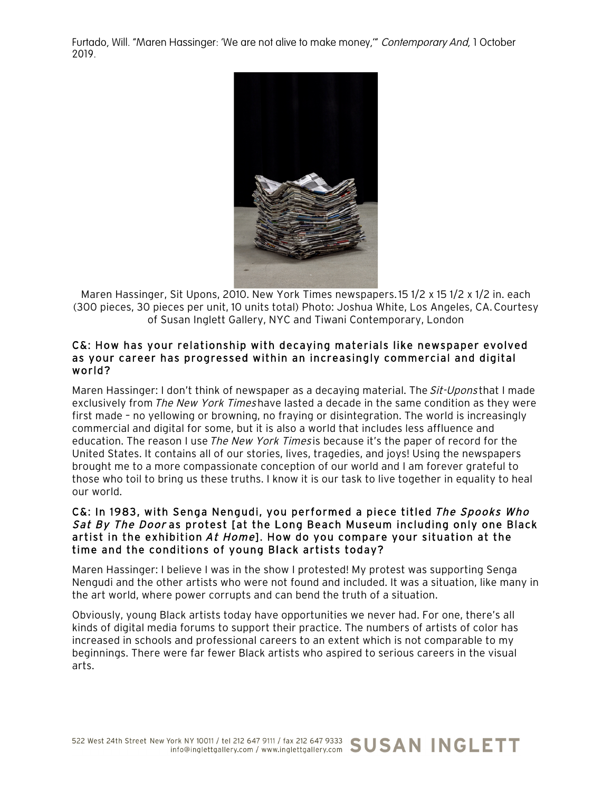Furtado, Will. "Maren Hassinger: 'We are not alive to make money,'" Contemporary And, 1 October 2019.



Maren Hassinger, Sit Upons, 2010. New York Times newspapers.15 1/2 x 15 1/2 x 1/2 in. each (300 pieces, 30 pieces per unit, 10 units total) Photo: Joshua White, Los Angeles, CA.Courtesy of Susan Inglett Gallery, NYC and Tiwani Contemporary, London

### C&: How has your relationship with decaying materials like newspaper evolved as your career has progressed within an increasingly commercial and digital world?

Maren Hassinger: I don't think of newspaper as a decaying material. The Sit-Upons that I made exclusively from The New York Timeshave lasted a decade in the same condition as they were first made – no yellowing or browning, no fraying or disintegration. The world is increasingly commercial and digital for some, but it is also a world that includes less affluence and education. The reason I use The New York Times is because it's the paper of record for the United States. It contains all of our stories, lives, tragedies, and joys! Using the newspapers brought me to a more compassionate conception of our world and I am forever grateful to those who toil to bring us these truths. I know it is our task to live together in equality to heal our world.

## C&: In 1983, with Senga Nengudi, you performed a piece titled The Spooks Who Sat By The Door as protest [at the Long Beach Museum including only one Black artist in the exhibition At Home]. How do you compare your situation at the time and the conditions of young Black artists today?

Maren Hassinger: I believe I was in the show I protested! My protest was supporting Senga Nengudi and the other artists who were not found and included. It was a situation, like many in the art world, where power corrupts and can bend the truth of a situation.

Obviously, young Black artists today have opportunities we never had. For one, there's all kinds of digital media forums to support their practice. The numbers of artists of color has increased in schools and professional careers to an extent which is not comparable to my beginnings. There were far fewer Black artists who aspired to serious careers in the visual arts.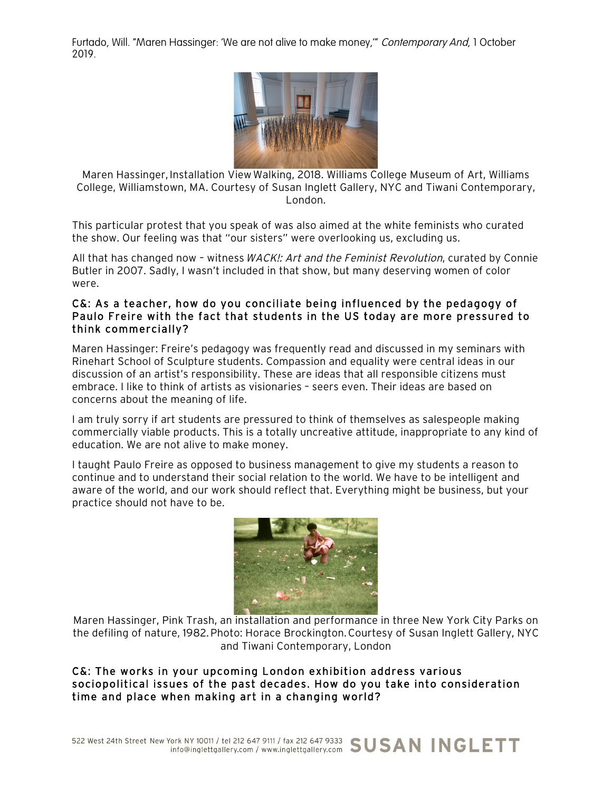Furtado, Will. "Maren Hassinger: 'We are not alive to make money,'" Contemporary And, 1 October 2019.



Maren Hassinger, Installation ViewWalking, 2018. Williams College Museum of Art, Williams College, Williamstown, MA. Courtesy of Susan Inglett Gallery, NYC and Tiwani Contemporary, London.

This particular protest that you speak of was also aimed at the white feminists who curated the show. Our feeling was that "our sisters" were overlooking us, excluding us.

All that has changed now - witness WACK!: Art and the Feminist Revolution, curated by Connie Butler in 2007. Sadly, I wasn't included in that show, but many deserving women of color were.

# C&: As a teacher, how do you conciliate being influenced by the pedagogy of Paulo Freire with the fact that students in the US today are more pressured to think commercially?

Maren Hassinger: Freire's pedagogy was frequently read and discussed in my seminars with Rinehart School of Sculpture students. Compassion and equality were central ideas in our discussion of an artist's responsibility. These are ideas that all responsible citizens must embrace. I like to think of artists as visionaries – seers even. Their ideas are based on concerns about the meaning of life.

I am truly sorry if art students are pressured to think of themselves as salespeople making commercially viable products. This is a totally uncreative attitude, inappropriate to any kind of education. We are not alive to make money.

I taught Paulo Freire as opposed to business management to give my students a reason to continue and to understand their social relation to the world. We have to be intelligent and aware of the world, and our work should reflect that. Everything might be business, but your practice should not have to be.



Maren Hassinger, Pink Trash, an installation and performance in three New York City Parks on the defiling of nature, 1982.Photo: Horace Brockington.Courtesy of Susan Inglett Gallery, NYC and Tiwani Contemporary, London

# C&: The works in your upcoming London exhibition address various sociopolitical issues of the past decades. How do you take into consideration time and place when making art in a changing world?